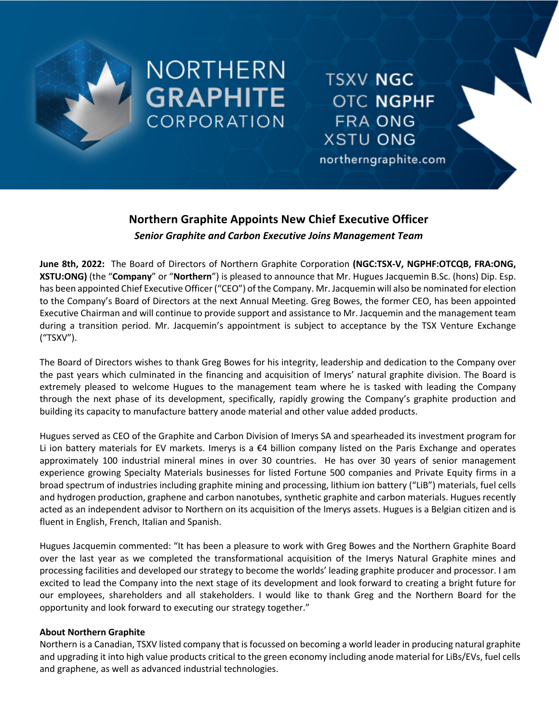

# NORTHERN **GRAPHITE CORPORATION**

**TSXV NGC OTC NGPHF FRA ONG XSTU ONG** 

northerngraphite.com

## **Northern Graphite Appoints New Chief Executive Officer** *Senior Graphite and Carbon Executive Joins Management Team*

**June 8th, 2022:** The Board of Directors of Northern Graphite Corporation **(NGC:TSX-V, NGPHF:OTCQB, FRA:ONG, XSTU:ONG)** (the "**Company**" or "**Northern**") is pleased to announce that Mr. Hugues Jacquemin B.Sc. (hons) Dip. Esp. has been appointed Chief Executive Officer("CEO") of the Company. Mr. Jacquemin will also be nominated for election to the Company's Board of Directors at the next Annual Meeting. Greg Bowes, the former CEO, has been appointed Executive Chairman and will continue to provide support and assistance to Mr. Jacquemin and the management team during a transition period. Mr. Jacquemin's appointment is subject to acceptance by the TSX Venture Exchange ("TSXV").

The Board of Directors wishes to thank Greg Bowes for his integrity, leadership and dedication to the Company over the past years which culminated in the financing and acquisition of Imerys' natural graphite division. The Board is extremely pleased to welcome Hugues to the management team where he is tasked with leading the Company through the next phase of its development, specifically, rapidly growing the Company's graphite production and building its capacity to manufacture battery anode material and other value added products.

Hugues served as CEO of the Graphite and Carbon Division of Imerys SA and spearheaded its investment program for Li ion battery materials for EV markets. Imerys is a  $\epsilon$ 4 billion company listed on the Paris Exchange and operates approximately 100 industrial mineral mines in over 30 countries. He has over 30 years of senior management experience growing Specialty Materials businesses for listed Fortune 500 companies and Private Equity firms in a broad spectrum of industries including graphite mining and processing, lithium ion battery ("LiB") materials, fuel cells and hydrogen production, graphene and carbon nanotubes, synthetic graphite and carbon materials. Hugues recently acted as an independent advisor to Northern on its acquisition of the Imerys assets. Hugues is a Belgian citizen and is fluent in English, French, Italian and Spanish.

Hugues Jacquemin commented: "It has been a pleasure to work with Greg Bowes and the Northern Graphite Board over the last year as we completed the transformational acquisition of the Imerys Natural Graphite mines and processing facilities and developed our strategy to become the worlds' leading graphite producer and processor. I am excited to lead the Company into the next stage of its development and look forward to creating a bright future for our employees, shareholders and all stakeholders. I would like to thank Greg and the Northern Board for the opportunity and look forward to executing our strategy together."

### **About Northern Graphite**

Northern is a Canadian, TSXV listed company that is focussed on becoming a world leader in producing natural graphite and upgrading it into high value products critical to the green economy including anode material for LiBs/EVs, fuel cells and graphene, as well as advanced industrial technologies.